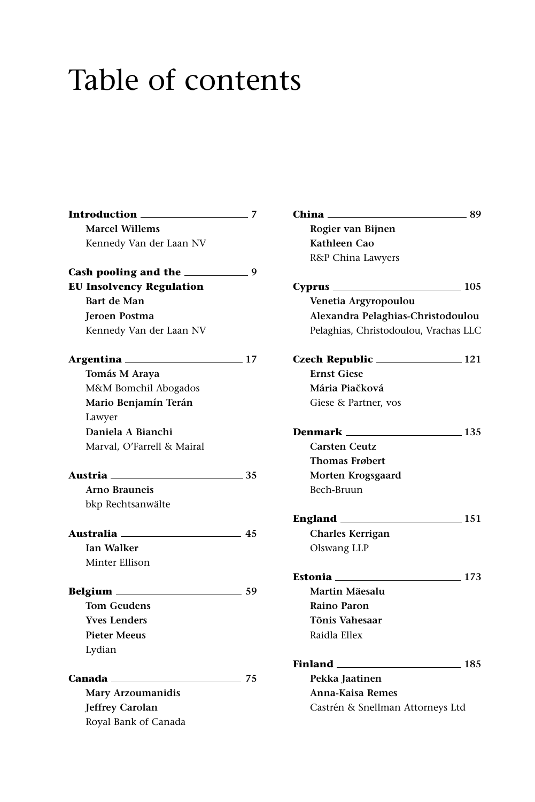## Table of contents

| <b>Introduction</b>             | 7   |
|---------------------------------|-----|
| <b>Marcel Willems</b>           |     |
| Kennedy Van der Laan NV         |     |
| Cash pooling and the            | - 9 |
| <b>EU Insolvency Regulation</b> |     |
| Bart de Man                     |     |
| <b>Jeroen Postma</b>            |     |
| Kennedy Van der Laan NV         |     |
| Argentina                       | 17  |
| Tomás M Araya                   |     |
| M&M Bomchil Abogados            |     |
| Mario Benjamín Terán            |     |
| Lawyer                          |     |
| Daniela A Bianchi               |     |
| Marval, O'Farrell & Mairal      |     |
| Austria <sub>——</sub>           | 35  |
| Arno Brauneis                   |     |
| bkp Rechtsanwälte               |     |
| Australia                       | 45  |
| <b>Ian Walker</b>               |     |
| Minter Ellison                  |     |
| Belgium <sub>—</sub>            | 59  |
| <b>Tom Geudens</b>              |     |
| <b>Yves Lenders</b>             |     |
| <b>Pieter Meeus</b>             |     |
| Lydian                          |     |
| Canada <b>_________</b> __      | 75  |
| Mary Arzoumanidis               |     |
| <b>Jeffrey Carolan</b>          |     |
| Royal Bank of Canada            |     |

| China —<br>$-89$                      |
|---------------------------------------|
| Rogier van Bijnen                     |
| Kathleen Cao                          |
| R&P China Lawyers                     |
| $\sim$ 105<br>Cyprus ______           |
| Venetia Argyropoulou                  |
| Alexandra Pelaghias-Christodoulou     |
| Pelaghias, Christodoulou, Vrachas LLC |
| Czech Republic _________________121   |
| <b>Ernst Giese</b>                    |
| Mária Piačková                        |
| Giese & Partner, vos                  |
| Denmark<br>$\sim$ 135                 |
| <b>Carsten Ceutz</b>                  |
| <b>Thomas Frøbert</b>                 |
| Morten Krogsgaard                     |
| Bech-Bruun                            |
| England _________<br>$\equiv$ 151     |
| <b>Charles Kerrigan</b>               |
| Olswang LLP                           |
| Estonia<br>$\equiv$ 173               |
| Martin Mäesalu                        |
| <b>Raino Paron</b>                    |
| Tõnis Vahesaar                        |
| Raidla Ellex                          |
| Finland __<br>. 185                   |
| Pekka Jaatinen                        |
| Anna-Kaisa Remes                      |
| Castrén & Snellman Attorneys Ltd      |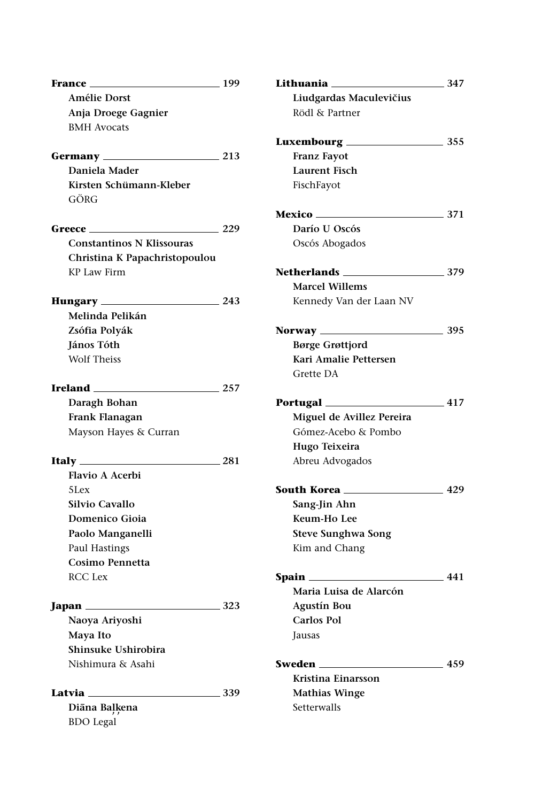| France ______                    | 199          | Lithuania ____             | 347             |
|----------------------------------|--------------|----------------------------|-----------------|
| Amélie Dorst                     |              | Liudgardas Maculevičius    |                 |
| Anja Droege Gagnier              |              | Rödl & Partner             |                 |
| <b>BMH</b> Avocats               |              |                            |                 |
|                                  |              |                            |                 |
|                                  | 213          | <b>Franz Fayot</b>         |                 |
| Daniela Mader                    |              | <b>Laurent Fisch</b>       |                 |
| Kirsten Schümann-Kleber          |              | FischFayot                 |                 |
| GÖRG                             |              |                            |                 |
|                                  |              | $\sim$ 371                 |                 |
| Greece ________                  | 229          | Darío U Oscós              |                 |
| <b>Constantinos N Klissouras</b> |              | Oscós Abogados             |                 |
| Christina K Papachristopoulou    |              |                            |                 |
| KP Law Firm                      |              | Netherlands ______________ | $-379$          |
|                                  |              | <b>Marcel Willems</b>      |                 |
| Hungary _______                  | $\equiv$ 243 | Kennedy Van der Laan NV    |                 |
| Melinda Pelikán                  |              |                            |                 |
| Zsófia Polyák                    |              |                            | $\equiv$ 395    |
| János Tóth                       |              | <b>Børge Grøttjord</b>     |                 |
| <b>Wolf Theiss</b>               |              | Kari Amalie Pettersen      |                 |
|                                  |              | Grette DA                  |                 |
| Ireland ________                 | $\sim 257$   |                            |                 |
| Daragh Bohan                     |              | Portugal                   | 417             |
| Frank Flanagan                   |              | Miguel de Avillez Pereira  |                 |
| Mayson Hayes & Curran            |              | Gómez-Acebo & Pombo        |                 |
|                                  |              | Hugo Teixeira              |                 |
|                                  | 281          | Abreu Advogados            |                 |
| <b>Flavio A Acerbi</b>           |              |                            |                 |
| $5$ Lex                          |              | South Korea ________       | $\frac{429}{ }$ |
| Silvio Cavallo                   |              | Sang-Jin Ahn               |                 |
| Domenico Gioia                   |              | Keum-Ho Lee                |                 |
| Paolo Manganelli                 |              | <b>Steve Sunghwa Song</b>  |                 |
| Paul Hastings                    |              | Kim and Chang              |                 |
| Cosimo Pennetta                  |              |                            |                 |
| <b>RCC</b> Lex                   |              |                            | _ 441           |
|                                  |              | Maria Luisa de Alarcón     |                 |
| Japan $\_\_\_\_\_\_\_\_\$        | 323          | Agustín Bou                |                 |
| Naoya Ariyoshi                   |              | Carlos Pol                 |                 |
| Maya Ito                         |              | Jausas                     |                 |
| Shinsuke Ushirobira              |              |                            |                 |
| Nishimura & Asahi                |              |                            | 459             |
|                                  |              | Kristina Einarsson         |                 |
| Latvia 239                       |              | <b>Mathias Winge</b>       |                 |
| Diāna Baļķena                    |              | Setterwalls                |                 |
| <b>BDO</b> Legal                 |              |                            |                 |
|                                  |              |                            |                 |